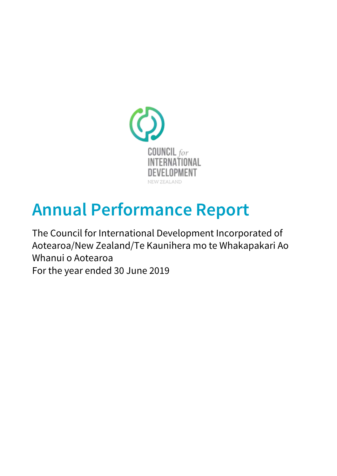

# Annual Performance Report

The Council for International Development Incorporated of Aotearoa/New Zealand/Te Kaunihera mo te Whakapakari Ao Whanui o Aotearoa For the year ended 30 June 2019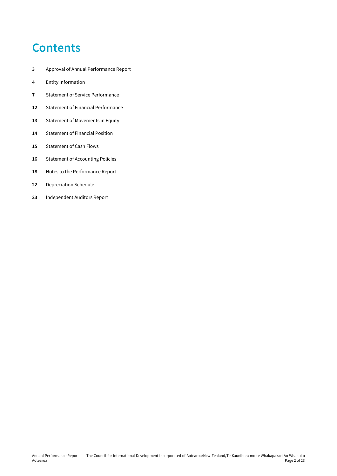## **Contents**

- Approval of Annual Performance Report
- Entity Information
- Statement of Service Performance
- Statement of Financial Performance
- 13 Statement of Movements in Equity
- Statement of Financial Position
- Statement of Cash Flows
- 16 Statement of Accounting Policies
- Notes to the Performance Report
- Depreciation Schedule
- Independent Auditors Report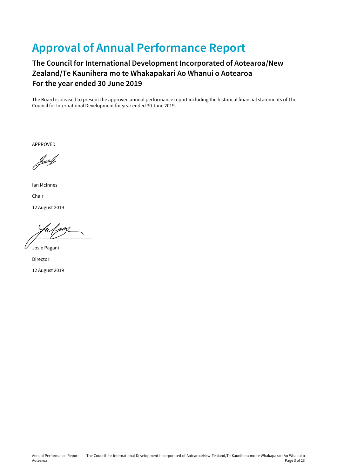## Approval of Annual Performance Report

### The Council for International Development Incorporated of Aotearoa/New Zealand/Te Kaunihera mo te Whakapakari Ao Whanui o Aotearoa For the year ended 30 June 2019

The Board is pleased to present the approved annual performance report including the historical financial statements of The Council for International Development for year ended 30 June 2019.

APPROVED

Ian McInnes Chair

12 August 2019

 $\gamma$   $\sim$ 

Josie Pagani

Director

12 August 2019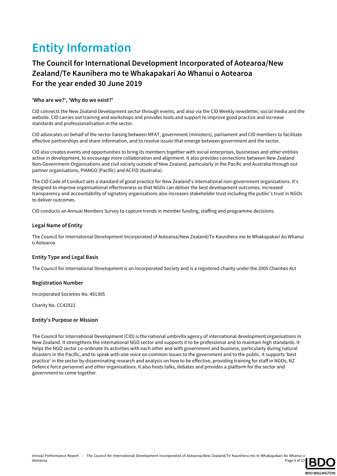## Entity Information

### The Council for International Development Incorporated of Aotearoa/New Zealand/Te Kaunihera mo te Whakapakari Ao Whanui o Aotearoa For the year ended 30 June 2019

### 'Who are we?', 'Why do we exist?'

CID connects the New Zealand Development sector through events, and also via the CID Weekly newsletter, social media and the website. CID carries out training and workshops and provides tools and support to improve good practice and increase standards and professionalisation in the sector.

CID advocates on behalf of the sector liaising between MFAT, government (ministers), parliament and CID members to facilitate effective partnerships and share information, and to resolve issues that emerge between government and the sector.

CID also creates events and opportunities to bring its members together with social enterprises, businesses and other entities active in development, to encourage more collaboration and alignment. It also provides connections between New Zealand Non-Govenrment-Organisations and civil society outside of New Zealand, particularly in the Pacific and Australia through out partner organisations, PIANGO (Pacific) and ACFID (Australia).

The CID Code of Conduct sets a standard of good practice for New Zealand's international non-government organisations. It's designed to improve organisational effectiveness so that NGOs can deliver the best development outcomes. Increased transparency and accountability of signatory organisations also increases stakeholder trust including the public's trust in NGOs to deliver outcomes.

CID conducts an Annual Members Survey to capture trends in member funding, staffing and programme decisions.

### Legal Name of Entity

The Council for International Development Incorporated of Aotearoa/New Zealand/Te Kaunihera mo te Whakapakari Ao Whanui o Aotearoa

### Entity Type and Legal Basis

The Council for International Development is an Incorporated Society and is a registered charity under the 2005 Charities Act

### Registration Number

Incorporated Societies No. 491305

Charity No. CC42922

#### Entity's Purpose or Mission

The Council for International Development (CID) is the national umbrella agency of international development organisations in New Zealand. It strengthens the international NGO sector and supports it to be professional and to maintain high standards. It helps the NGO sector co-ordinate its activities with each other and with government and business, particularly during natural disasters in the Pacific, and to speak with one voice on common issues to the government and to the public. It supports 'best practice' in the sector by disseminating research and analysis on how to be effective, providing training for staff in NGOs, NZ Defence force personnel and other organisations. It also hosts talks, debates and provides a platform for the sector and government to come together.

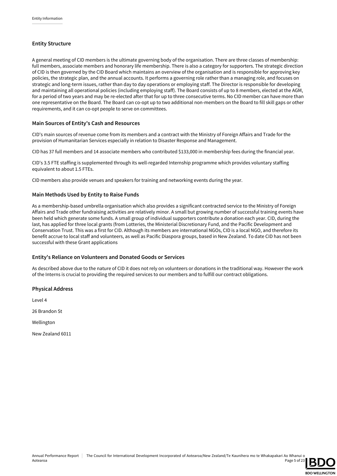### Entity Structure

A general meeting of CID members is the ultimate governing body of the organisation. There are three classes of membership: full members, associate members and honorary life membership. There is also a category for supporters. The strategic direction of CID is then governed by the CID Board which maintains an overview of the organisation and is responsible for approving key policies, the strategic plan, and the annual accounts. It performs a governing role rather than a managing role, and focuses on strategic and long-term issues, rather than day to day operations or employing staff. The Director is responsible for developing and maintaining all operational policies (including employing staff). The Board consists of up to 8 members, elected at the AGM, for a period of two years and may be re-elected after that for up to three consecutive terms. No CID member can have more than one representative on the Board. The Board can co-opt up to two additional non-members on the Board to fill skill gaps or other requirements, and it can co-opt people to serve on committees.

### Main Sources of Entity's Cash and Resources

CID's main sources of revenue come from its members and a contract with the Ministry of Foreign Affairs and Trade for the provision of Humanitarian Services especially in relation to Disaster Response and Management.

CID has 37 full members and 14 associate members who contributed \$133,000 in membership fees during the financial year.

CID's 3.5 FTE staffing is supplemented through its well-regarded Internship programme which provides voluntary staffing equivalent to about 1.5 FTEs.

CID members also provide venues and speakers for training and networking events during the year.

### Main Methods Used by Entity to Raise Funds

As a membership-based umbrella organisation which also provides a significant contracted service to the Ministry of Foreign Affairs and Trade other fundraising activities are relatively minor. A small but growing number of successful training events have been held which generate some funds. A small group of individual supporters contribute a donation each year. CID, during the last, has applied for three local grants (from Lotteries, the Ministerial Discretionary Fund, and the Pacific Development and Conservation Trust. This was a first for CID. Although its members are international NGOs, CID is a local NGO, and therefore its benefit accrue to local staff and volunteers, as well as Pacific Diaspora groups, based in New Zealand. To date CID has not been successful with these Grant applications

### Entity's Reliance on Volunteers and Donated Goods or Services

As described above due to the nature of CID it does not rely on volunteers or donations in the traditional way. However the work of the Interns is crucial to providing the required services to our members and to fulfill our contract obligations.

#### Physical Address

Level 4

26 Brandon St

Wellington

New Zealand 6011

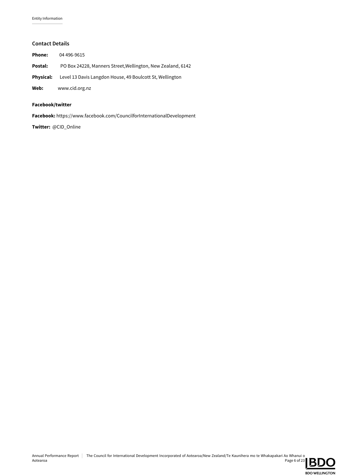### Contact Details

| Phone:           | 04 496-9615                                                 |
|------------------|-------------------------------------------------------------|
| Postal:          | PO Box 24228, Manners Street, Wellington, New Zealand, 6142 |
| <b>Physical:</b> | Level 13 Davis Langdon House, 49 Boulcott St, Wellington    |
| Web:             | www.cid.org.nz                                              |

### Facebook/twitter

Facebook: https://www.facebook.com/CouncilforInternationalDevelopment

Twitter: @CID\_Online

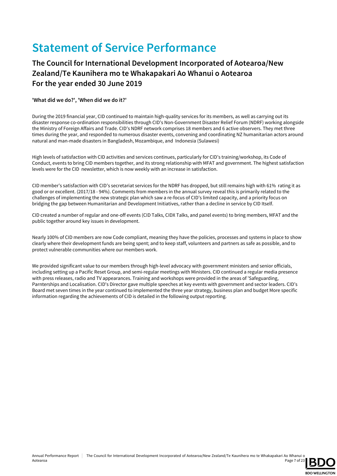## Statement of Service Performance

### The Council for International Development Incorporated of Aotearoa/New Zealand/Te Kaunihera mo te Whakapakari Ao Whanui o Aotearoa For the year ended 30 June 2019

### 'What did we do?', 'When did we do it?'

During the 2019 financial year, CID continued to maintain high-quality services for its members, as well as carrying out its disaster response co-ordination responsibilities through CID's Non-Government Disaster Relief Forum (NDRF) working alongside the Ministry of Foreign Affairs and Trade. CID's NDRF network comprises 18 members and 6 active observers. They met three times during the year, and responded to numerous disaster events, convening and coordinating NZ humanitarian actors around natural and man-made disasters in Bangladesh, Mozambique, and Indonesia (Sulawesi)

High levels of satisfaction with CID activities and services continues, particularly for CID's training/workshop, its Code of Conduct, events to bring CID members together, and its strong relationship with MFAT and government. The highest satisfaction levels were for the CID newsletter, which is now weekly with an increase in satisfaction.

CID member's satisfaction with CID's secretariat services for the NDRF has dropped, but still remains high with 61% rating it as good or or excellent. (2017/18 - 94%). Comments from members in the annual survey reveal this is primarily related to the challenges of implementing the new strategic plan which saw a re-focus of CID's limited capacity, and a priority focus on bridging the gap between Humanitarian and Development Initiatives, rather than a decline in service by CID Itself.

CID created a number of regular and one-off events (CID Talks, CIDX Talks, and panel events) to bring members, MFAT and the public together around key issues in development.

Nearly 100% of CID members are now Code compliant, meaning they have the policies, processes and systems in place to show clearly where their development funds are being spent; and to keep staff, volunteers and partners as safe as possible, and to protect vulnerable communities where our members work.

We provided significant value to our members through high-level advocacy with government ministers and senior officials, including setting up a Pacific Reset Group, and semi-regular meetings with Ministers. CID continued a regular media presence with press releases, radio and TV appearances. Training and workshops were provided in the areas of 'Safeguarding, Parnterships and Localisation. CID's Director gave multiple speeches at key events with government and sector leaders. CID's Board met seven times in the year continued to implemented the three year strategy, business plan and budget More specific information regarding the achievements of CID is detailed in the following output reporting.

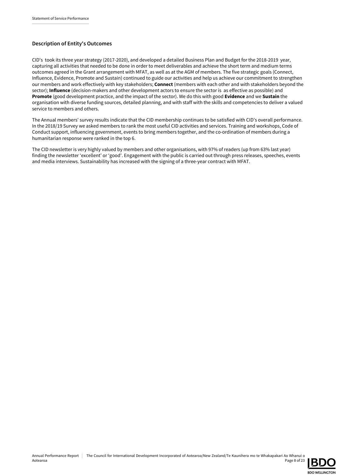### Description of Entity's Outcomes

CID's took its three year strategy (2017-2020), and developed a detailed Business Plan and Budget for the 2018-2019 year, capturing all activities that needed to be done in order to meet deliverables and achieve the short term and medium terms outcomes agreed in the Grant arrangement with MFAT, as well as at the AGM of members. The five strategic goals (Connect, Influence, Evidence, Promote and Sustain) continued to guide our activities and help us achieve our commitment to strengthen our members and work effectively with key stakeholders; Connect (members with each other and with stakeholders beyond the sector); Influence (decision-makers and other development actors to ensure the sector is as effective as possible) and Promote (good development practice, and the impact of the sector). We do this with good Evidence and we Sustain the organisation with diverse funding sources, detailed planning, and with staff with the skills and competencies to deliver a valued service to members and others.

The Annual members' survey results indicate that the CID membership continues to be satisfied with CID's overall performance. In the 2018/19 Survey we asked members to rank the most useful CID activities and services. Training and workshops, Code of Conduct support, influencing government, events to bring members together, and the co-ordination of members during a humanitarian response were ranked in the top 6.

The CID newsletter is very highly valued by members and other organisations, with 97% of readers (up from 63% last year) finding the newsletter 'excellent' or 'good'. Engagement with the public is carried out through press releases, speeches, events and media interviews. Sustainability has increased with the signing of a three-year contract with MFAT.

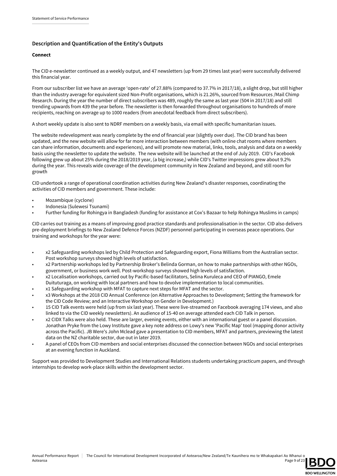### Description and Quantification of the Entity's Outputs

### Connect

The CID e-newsletter continued as a weekly output, and 47 newsletters (up from 29 times last year) were successfully delivered this financial year.

From our subscriber list we have an average 'open-rate' of 27.88% (compared to 37.7% in 2017/18), a slight drop, but still higher than the industry average for equivalent sized Non-Profit organisations, which is 21.26%, sourced from Resources /Mail Chimp Research. During the year the number of direct subscribers was 489, roughly the same as last year (504 in 2017/18) and still trending upwards from 439 the year before. The newsletter is then forwarded throughout organisations to hundreds of more recipients, reaching on average up to 1000 readers (from anecdotal feedback from direct subscribers).

A short weekly update is also sent to NDRF members on a weekly basis, via email with specific humanitarian issues.

The website redevelopment was nearly complete by the end of financial year (slightly over due). The CID brand has been updated, and the new website will allow for far more interaction between members (with online chat rooms where members can share information, documents and experiences), and will promote new material, links, tools, analysis and data on a weekly basis using the newsletter to update the website. The new website will be launched at the end of July 2019. CID's Facebook following grew up about 25% during the 2018/2019 year, (a big increase,) while CID's Twitter impressions grew about 9.2% during the year. This reveals wide coverage of the development community in New Zealand and beyond, and still room for growth

CID undertook a range of operational coordination activities during New Zealand's disaster responses, coordinating the activities of CID members and government. These include:

- Mozambique (cyclone)
- Indonesia (Sulewesi Tsunami)
- Further funding for Rohingya in Bangladesh (funding for assistance at Cox's Bazaar to help Rohingya Muslims in camps)

CID carries out training as a means of improving good practice standards and professionalisation in the sector. CID also delivers pre-deployment briefings to New Zealand Defence Forces (NZDF) personnel participating in overseas peace operations. Our training and workshops for the year were:

- x2 Safeguarding workshops led by Child Protection and Safeguarding export, Fiona Williams from the Australian sector. Post workshop surveys showed high levels of satisfaction.
- x2 Partnership workshops led by Partnership Broker's Belinda Gorman, on how to make partnerships with other NGOs, government, or business work well. Post-workshop surveys showed high levels of satisfaction.
- x2 Localisation workshops, carried out by Pacific-based facilitators, Selina Kuruleca and CEO of PIANGO, Emele Duituturaga, on working with local partners and how to devolve implementation to local communities.
- x1 Safeguarding workshop with MFAT to capture next steps for MFAT and the sector.
- x3 Workshops at the 2018 CID Annual Conference (on Alternative Approaches to Development; Setting the framework for the CID Code Review; and an Interactive Workshop on Gender in Development.)
- 15 CID Talk events were held (up from six last year). These were live-streamed on Facebook averaging 174 views, and also linked to via the CID weekly newsletters). An audience of 15-40 on average attended each CID Talk in person.
- x2 CIDX Talks were also held. These are larger, evening events, either with an international guest or a panel discussion. Jonathan Pryke from the Lowy Institute gave a key note address on Lowy's new 'Pacific Map' tool (mapping donor activity across the Pacific). JB Were's John Mclead gave a presentation to CID members, MFAT and partners, previewing the latest data on the NZ charitable sector, due out in later 2019.
- A panel of CEOs from CID members and social enterprises discussed the connection between NGOs and social enterprises at an evening function in Auckland.

Support was provided to Development Studies and International Relations students undertaking practicum papers, and through internships to develop work-place skills within the development sector.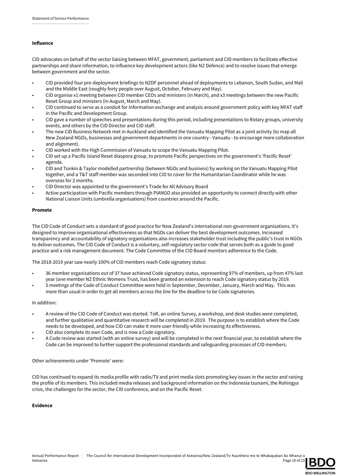### Influence

CID advocates on behalf of the sector liaising between MFAT, government, parliament and CID members to facilitate effective partnerships and share information, to influence key development actors (like NZ Defence) and to resolve issues that emerge between government and the sector.

- CID provided four pre-deployment briefings to NZDF personnel ahead of deployments to Lebanon, South Sudan, and Mali and the Middle East (roughly forty people over August, October, February and May).
- CID organise x1 meeting between CID member CEOs and ministers (in March), and x3 meetings between the new Pacific Reset Group and ministers (in August, March and May).
- CID continued to serve as a conduit for information exchange and analysis around government policy with key MFAT staff in the Pacific and Development Group.
- CID gave a number of speeches and presentations during this period, including presentations to Rotary groups, university events, and others by the CID Director and CID staff.
- The new CID Business Network met in Auckland and identified the Vanuatu Mapping Pilot as a joint activity (to map all New Zealand NGOs, businesses and government departments in one country - Vanuatu - to encourage more collaboration and alignment).
- CID worked with the High Commission of Vanuatu to scope the Vanuatu Mapping Pilot.
- CID set up a Pacific Island Reset diaspora group, to promote Pacific perspectives on the government's 'Pacific Reset' agenda.
- CID and Tonkin & Taylor modelled partnership (between NGOs and business) by working on the Vanuatu Mapping Pilot together, and a T&T staff member was seconded into CID to cover for the Humanitarian Coordinator while he was overseas for 2 months.
- CID Director was appointed to the government's Trade for All Advisory Board
- Active participation with Pacific members through PIANGO also provided an opportunity to connect directly with other National Liaison Units (umbrella organisations) from countries around the Pacific.

### Promote

The CID Code of Conduct sets a standard of good practice for New Zealand's international non-government organisations. It's designed to improve organisational effectiveness so that NGOs can deliver the best development outcomes. Increased transparency and accountability of signatory organisations also increases stakeholder trust including the public's trust in NGOs to deliver outcomes. The CID Code of Conduct is a voluntary, self-regulatory sector code that serves both as a guide to good practice and a risk management document. The Code Committee of the CID Board monitors adherence to the Code.

The 2018-2019 year saw nearly 100% of CID members reach Code signatory status:

- 36 member organisations out of 37 have achieved Code signatory status, representing 97% of members, up from 47% last year (one member NZ Ethnic Womens Trust, has been granted an extension to reach Code signatory status by 2019.
- 5 meetings of the Code of Conduct Committee were held in September, December, January, March and May. This was more than usual in order to get all members across the line for the deadline to be Code signatories.

#### In addition:

- A review of the CID Code of Conduct was started. ToR, an online Survey, a workshop, and desk studies were completed, and further qualitative and quantitative research will be completed in 2019. The purpose is to establish where the Code needs to be developed, and how CID can make it more user-friendly while increasing its effectiveness.
- CID also complete its own Code, and is now a Code signatory.
- A Code review was started (with an online survey) and will be completed in the next financial year, to establish where the Code can be improved to further support the professional standards and safeguarding processes of CID members.

#### Other achievements under 'Promote' were:

CID has continued to expand its media profile with radio/TV and print media slots promoting key issues in the sector and raising the profile of its members. This included media releases and background information on the Indonesia tsunami, the Rohingya crisis, the challenges for the sector, the CID conference, and on the Pacific Reset.

#### Evidence

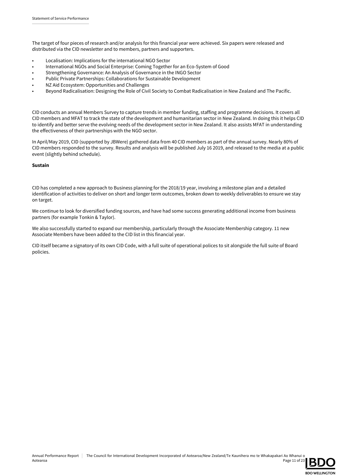The target of four pieces of research and/or analysis for this financial year were achieved. Six papers were released and distributed via the CID newsletter and to members, partners and supporters.

- Localisation: Implications for the international NGO Sector
- International NGOs and Social Enterprise: Coming Together for an Eco-System of Good
- Strengthening Governance: An Analysis of Governance in the INGO Sector
- Public Private Partnerships: Collaborations for Sustainable Development
- NZ Aid Ecosystem: Opportunities and Challenges
- Beyond Radicalisation: Designing the Role of Civil Society to Combat Radicalisation in New Zealand and The Pacific.

CID conducts an annual Members Survey to capture trends in member funding, staffing and programme decisions. It covers all CID members and MFAT to track the state of the development and humanitarian sector in New Zealand. In doing this it helps CID to identify and better serve the evolving needs of the development sector in New Zealand. It also assists MFAT in understanding the effectiveness of their partnerships with the NGO sector.

In April/May 2019, CID (supported by JBWere) gathered data from 40 CID members as part of the annual survey. Nearly 80% of CID members responded to the survey. Results and analysis will be published July 16 2019, and released to the media at a public event (slightly behind schedule).

#### Sustain

CID has completed a new approach to Business planning for the 2018/19 year, involving a milestone plan and a detailed identification of activities to deliver on short and longer term outcomes, broken down to weekly deliverables to ensure we stay on target.

We continue to look for diversified funding sources, and have had some success generating additional income from business partners (for example Tonkin & Taylor).

We also successfully started to expand our membership, particularly through the Associate Membership category. 11 new Associate Members have been added to the CID list in this financial year.

CID itself became a signatory of its own CID Code, with a full suite of operational polices to sit alongside the full suite of Board policies.

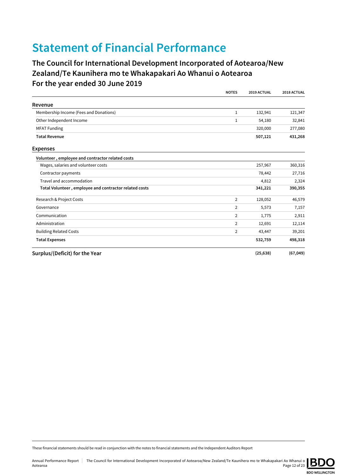## Statement of Financial Performance

### The Council for International Development Incorporated of Aotearoa/New Zealand/Te Kaunihera mo te Whakapakari Ao Whanui o Aotearoa For the year ended 30 June 2019

|                                                        | <b>NOTES</b>   | 2019 ACTUAL | 2018 ACTUAL |
|--------------------------------------------------------|----------------|-------------|-------------|
| Revenue                                                |                |             |             |
| Membership Income (Fees and Donations)                 | 1              | 132,941     | 121,347     |
| Other Independent Income                               | 1              | 54,180      | 32,841      |
| <b>MFAT Funding</b>                                    |                | 320,000     | 277,080     |
| <b>Total Revenue</b>                                   |                | 507,121     | 431,268     |
| <b>Expenses</b>                                        |                |             |             |
| Volunteer, employee and contractor related costs       |                |             |             |
| Wages, salaries and volunteer costs                    |                | 257,967     | 360,316     |
| Contractor payments                                    |                | 78,442      | 27,716      |
| Travel and accommodation                               |                | 4,812       | 2,324       |
| Total Volunteer, employee and contractor related costs |                | 341,221     | 390,355     |
| Research & Project Costs                               | $\overline{2}$ | 128,052     | 46,579      |
| Governance                                             | 2              | 5,573       | 7,157       |
| Communication                                          | 2              | 1,775       | 2,911       |
| Administration                                         | 2              | 12,691      | 12,114      |
| <b>Building Related Costs</b>                          | $\overline{2}$ | 43,447      | 39,201      |
| <b>Total Expenses</b>                                  |                | 532,759     | 498,318     |
| Surplus/(Deficit) for the Year                         |                | (25, 638)   | (67, 049)   |

These financial statements should be read in conjunction with the notes to financial statements and the Independent Auditors Report

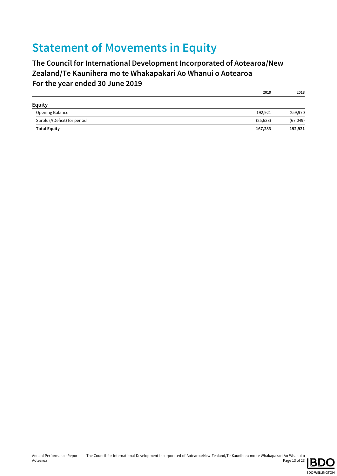## Statement of Movements in Equity

### The Council for International Development Incorporated of Aotearoa/New Zealand/Te Kaunihera mo te Whakapakari Ao Whanui o Aotearoa For the year ended 30 June 2019

| <b>Equity</b>                |           |           |
|------------------------------|-----------|-----------|
| Opening Balance              | 192,921   | 259,970   |
| Surplus/(Deficit) for period | (25, 638) | (67, 049) |
| <b>Total Equity</b>          | 167,283   | 192,921   |



2019 2018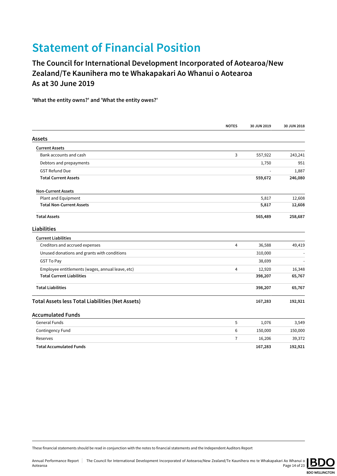## Statement of Financial Position

The Council for International Development Incorporated of Aotearoa/New Zealand/Te Kaunihera mo te Whakapakari Ao Whanui o Aotearoa As at 30 June 2019

'What the entity owns?' and 'What the entity owes?'

|                                                         | <b>NOTES</b>   | 30 JUN 2019 | 30 JUN 2018 |
|---------------------------------------------------------|----------------|-------------|-------------|
| Assets                                                  |                |             |             |
| <b>Current Assets</b>                                   |                |             |             |
| Bank accounts and cash                                  | 3              | 557,922     | 243,241     |
| Debtors and prepayments                                 |                | 1,750       | 951         |
| <b>GST Refund Due</b>                                   |                |             | 1,887       |
| <b>Total Current Assets</b>                             |                | 559,672     | 246,080     |
| <b>Non-Current Assets</b>                               |                |             |             |
| Plant and Equipment                                     |                | 5,817       | 12,608      |
| <b>Total Non-Current Assets</b>                         |                | 5,817       | 12,608      |
| <b>Total Assets</b>                                     |                | 565,489     | 258,687     |
| <b>Liabilities</b>                                      |                |             |             |
| <b>Current Liabilities</b>                              |                |             |             |
| Creditors and accrued expenses                          | 4              | 36,588      | 49,419      |
| Unused donations and grants with conditions             |                | 310,000     |             |
| <b>GST To Pay</b>                                       |                | 38,699      |             |
| Employee entitlements (wages, annual leave, etc)        | $\overline{4}$ | 12,920      | 16,348      |
| <b>Total Current Liabilities</b>                        |                | 398,207     | 65,767      |
| <b>Total Liabilities</b>                                |                | 398,207     | 65,767      |
| <b>Total Assets less Total Liabilities (Net Assets)</b> |                | 167,283     | 192,921     |
| <b>Accumulated Funds</b>                                |                |             |             |
| <b>General Funds</b>                                    | 5              | 1,076       | 3,549       |
| Contingency Fund                                        | 6              | 150,000     | 150,000     |
| Reserves                                                | $\overline{7}$ | 16,206      | 39,372      |
| <b>Total Accumulated Funds</b>                          |                | 167,283     | 192,921     |

These financial statements should be read in conjunction with the notes to financial statements and the Independent Auditors Report

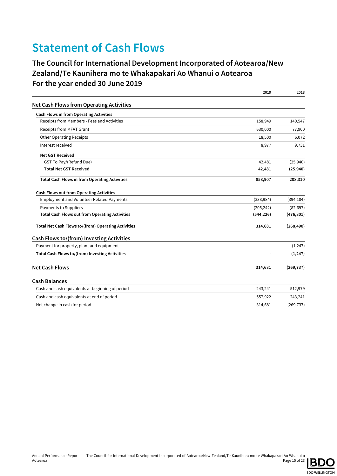## Statement of Cash Flows

### The Council for International Development Incorporated of Aotearoa/New Zealand/Te Kaunihera mo te Whakapakari Ao Whanui o Aotearoa For the year ended 30 June 2019

|                                                            | 2019           | 2018       |
|------------------------------------------------------------|----------------|------------|
| <b>Net Cash Flows from Operating Activities</b>            |                |            |
| <b>Cash Flows in from Operating Activities</b>             |                |            |
| Receipts from Members - Fees and Activities                | 158,949        | 140,547    |
| Receipts from MFAT Grant                                   | 630,000        | 77,900     |
| <b>Other Operating Receipts</b>                            | 18,500         | 6,072      |
| Interest received                                          | 8,977          | 9,731      |
| <b>Net GST Received</b>                                    |                |            |
| GST To Pay/(Refund Due)                                    | 42,481         | (25, 940)  |
| <b>Total Net GST Received</b>                              | 42,481         | (25,940)   |
| <b>Total Cash Flows in from Operating Activities</b>       | 858,907        | 208,310    |
| <b>Cash Flows out from Operating Activities</b>            |                |            |
| <b>Employment and Volunteer Related Payments</b>           | (338, 984)     | (394, 104) |
| Payments to Suppliers                                      | (205, 242)     | (82, 697)  |
| <b>Total Cash Flows out from Operating Activities</b>      | (544, 226)     | (476, 801) |
| <b>Total Net Cash Flows to/(from) Operating Activities</b> | 314,681        | (268, 490) |
| Cash Flows to/(from) Investing Activities                  |                |            |
| Payment for property, plant and equipment                  | $\overline{a}$ | (1, 247)   |
| Total Cash Flows to/(from) Investing Activities            |                | (1, 247)   |
| <b>Net Cash Flows</b>                                      | 314,681        | (269, 737) |
| <b>Cash Balances</b>                                       |                |            |
| Cash and cash equivalents at beginning of period           | 243,241        | 512,979    |
| Cash and cash equivalents at end of period                 | 557,922        | 243,241    |
| Net change in cash for period                              | 314,681        | (269, 737) |

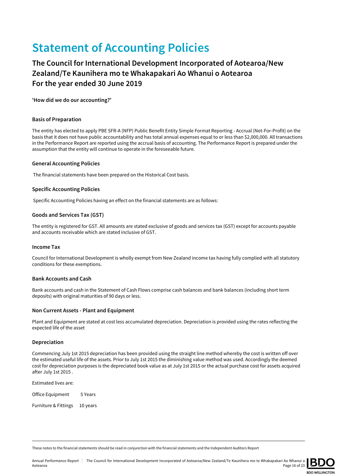## Statement of Accounting Policies

### The Council for International Development Incorporated of Aotearoa/New Zealand/Te Kaunihera mo te Whakapakari Ao Whanui o Aotearoa For the year ended 30 June 2019

'How did we do our accounting?'

### Basis of Preparation

The entity has elected to apply PBE SFR-A (NFP) Public Benefit Entity Simple Format Reporting - Accrual (Not-For-Profit) on the basis that it does not have public accountability and has total annual expenses equal to or less than \$2,000,000. All transactions in the Performance Report are reported using the accrual basis of accounting. The Performance Report is prepared under the assumption that the entity will continue to operate in the foreseeable future.

### General Accounting Policies

The financial statements have been prepared on the Historical Cost basis.

### Specific Accounting Policies

Specific Accounting Policies having an effect on the financial statements are as follows:

### Goods and Services Tax (GST)

The entity is registered for GST. All amounts are stated exclusive of goods and services tax (GST) except for accounts payable and accounts receivable which are stated inclusive of GST.

#### Income Tax

Council for International Development is wholly exempt from New Zealand income tax having fully complied with all statutory conditions for these exemptions.

#### Bank Accounts and Cash

Bank accounts and cash in the Statement of Cash Flows comprise cash balances and bank balances (including short term deposits) with original maturities of 90 days or less.

#### Non Current Assets - Plant and Equipment

Plant and Equipment are stated at cost less accumulated depreciation. Depreciation is provided using the rates reflecting the expected life of the asset

#### Depreciation

Commencing July 1st 2015 depreciation has been provided using the straight line method whereby the cost is written off over the estimated useful life of the assets. Prior to July 1st 2015 the diminishing value method was used. Accordingly the deemed cost for depreciation purposes is the depreciated book value as at July 1st 2015 or the actual purchase cost for assets acquired after July 1st 2015 .

Estimated lives are:

Office Equipment 5 Years

Furniture & Fittings 10 years

These notes to the financial statements should be read in conjunction with the financial statements and the Independent Auditors Report

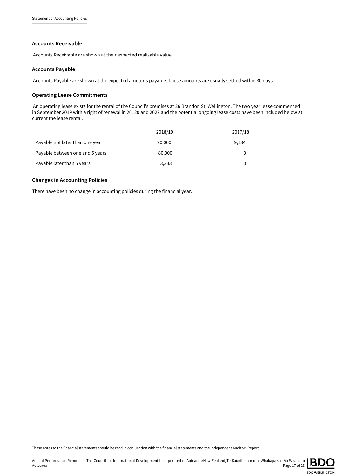### Accounts Receivable

Accounts Receivable are shown at their expected realisable value.

### Accounts Payable

Accounts Payable are shown at the expected amounts payable. These amounts are usually settled within 30 days.

### Operating Lease Commitments

 An operating lease exists for the rental of the Council's premises at 26 Brandon St, Wellington. The two year lease commenced in September 2019 with a right of renewal in 20120 and 2022 and the potential ongoing lease costs have been included below at current the lease rental.

|                                 | 2018/19 | 2017/18 |
|---------------------------------|---------|---------|
| Payable not later than one year | 20,000  | 9,134   |
| Payable between one and 5 years | 80,000  | 0       |
| Payable later than 5 years      | 3,333   | 0       |

### Changes in Accounting Policies

There have been no change in accounting policies during the financial year.

These notes to the financial statements should be read in conjunction with the financial statements and the Independent Auditors Report

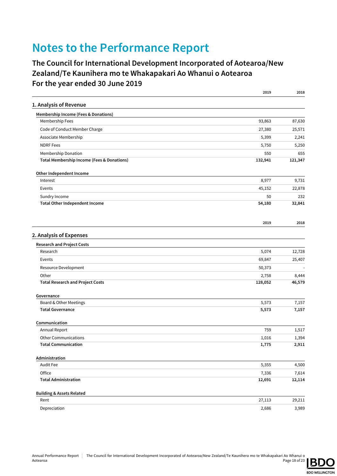## Notes to the Performance Report

### The Council for International Development Incorporated of Aotearoa/New Zealand/Te Kaunihera mo te Whakapakari Ao Whanui o Aotearoa For the year ended 30 June 2019

|                                                 | 2019    | 2018    |
|-------------------------------------------------|---------|---------|
| 1. Analysis of Revenue                          |         |         |
| <b>Membership Income (Fees &amp; Donations)</b> |         |         |
| Membership Fees                                 | 93,863  | 87,630  |
| Code of Conduct Member Charge                   | 27,380  | 25,571  |
| Associate Membership                            | 5,399   | 2,241   |
| <b>NDRF</b> Fees                                | 5,750   | 5,250   |
| Membership Donation                             | 550     | 655     |
| Total Membership Income (Fees & Donations)      | 132,941 | 121,347 |
| Other Independent Income                        |         |         |
| Interest                                        | 8,977   | 9,731   |
| Events                                          | 45,152  | 22,878  |
| Sundry Income                                   | 50      | 232     |
| <b>Total Other Independent Income</b>           | 54,180  | 32,841  |
|                                                 | 2019    | 2018    |
| 2. Analysis of Expenses                         |         |         |
| <b>Research and Project Costs</b>               |         |         |
| Research                                        | 5,074   | 12,728  |
| Events                                          | 69,847  | 25,407  |
| Resource Development                            | 50,373  |         |
| Other                                           | 2,758   | 8,444   |
| <b>Total Research and Project Costs</b>         | 128,052 | 46,579  |
| Governance                                      |         |         |
| Board & Other Meetings                          | 5,573   | 7,157   |
| <b>Total Governance</b>                         | 5,573   | 7,157   |
| Communication                                   |         |         |
| Annual Report                                   | 759     | 1,517   |
| <b>Other Communications</b>                     | 1,016   | 1,394   |
| <b>Total Communication</b>                      | 1,775   | 2,911   |
| Administration                                  |         |         |
| Audit Fee                                       | 5,355   | 4,500   |
| Office                                          | 7,336   | 7,614   |
| <b>Total Administration</b>                     | 12,691  | 12,114  |
| <b>Building &amp; Assets Related</b>            |         |         |
| Rent                                            | 27,113  | 29,211  |
| Depreciation                                    | 2,686   | 3,989   |

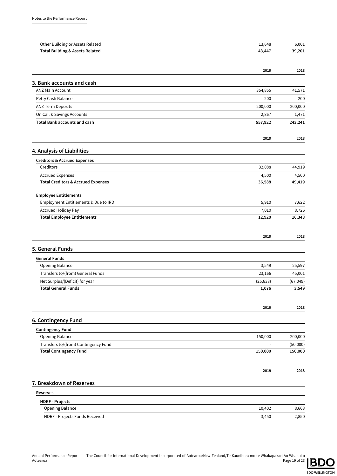| Other Building or Assets Related                                 | 13,648          | 6,001           |
|------------------------------------------------------------------|-----------------|-----------------|
| <b>Total Building &amp; Assets Related</b>                       | 43,447          | 39,201          |
|                                                                  |                 |                 |
|                                                                  | 2019            | 2018            |
| 3. Bank accounts and cash                                        |                 |                 |
| <b>ANZ Main Account</b>                                          | 354,855         | 41,571          |
| Petty Cash Balance                                               | 200             | 200             |
| ANZ Term Deposits                                                | 200,000         | 200,000         |
| On Call & Savings Accounts                                       | 2,867           | 1,471           |
| <b>Total Bank accounts and cash</b>                              | 557,922         | 243,241         |
|                                                                  | 2019            | 2018            |
| 4. Analysis of Liabilities                                       |                 |                 |
| <b>Creditors &amp; Accrued Expenses</b>                          |                 |                 |
| Creditors                                                        | 32,088          | 44,919          |
| <b>Accrued Expenses</b>                                          | 4,500           | 4,500           |
| <b>Total Creditors &amp; Accrued Expenses</b>                    | 36,588          | 49,419          |
| <b>Employee Entitlements</b>                                     |                 |                 |
| Employment Entitlements & Due to IRD                             | 5,910           | 7,622           |
| <b>Accrued Holiday Pay</b><br><b>Total Employee Entitlements</b> | 7,010<br>12,920 | 8,726<br>16,348 |
|                                                                  |                 |                 |
|                                                                  | 2019            | 2018            |
| 5. General Funds                                                 |                 |                 |
| <b>General Funds</b>                                             |                 |                 |
| Opening Balance                                                  | 3,549           | 25,597          |
| Transfers to/(from) General Funds                                | 23,166          | 45,001          |
| Net Surplus/(Deficit) for year                                   | (25, 638)       | (67, 049)       |
| <b>Total General Funds</b>                                       | 1,076           | 3,549           |
|                                                                  | 2019            | 2018            |
| 6. Contingency Fund                                              |                 |                 |
| <b>Contingency Fund</b>                                          |                 |                 |
| Opening Balance                                                  | 150,000         | 200,000         |
| Transfers to/(from) Contingency Fund                             |                 | (50,000)        |
| <b>Total Contingency Fund</b>                                    | 150,000         | 150,000         |
|                                                                  | 2019            | 2018            |
| 7. Breakdown of Reserves                                         |                 |                 |
| Reserves                                                         |                 |                 |
| <b>NDRF - Projects</b>                                           |                 |                 |
| Opening Balance                                                  | 10,402          | 8,663           |
| NDRF - Projects Funds Received                                   | 3,450           | 2,850           |

**BDO WELLINGTON**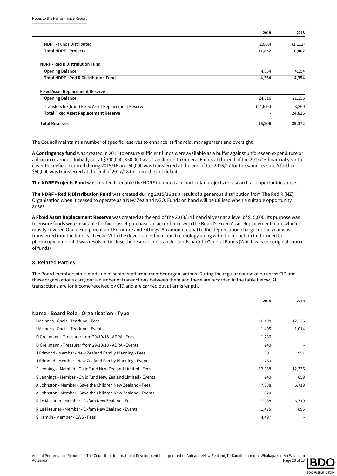|                                                     | 2019           | 2018    |
|-----------------------------------------------------|----------------|---------|
| NDRF - Funds Distributed                            | (2,000)        | (1,111) |
| <b>Total NDRF - Projects</b>                        | 11,852         | 10,402  |
| <b>NDRF - Red R Distribution Fund</b>               |                |         |
| Opening Balance                                     | 4,354          | 4,354   |
| <b>Total NDRF - Red R Distribution Fund</b>         | 4,354          | 4,354   |
| <b>Fixed Asset Replacement Reserve</b>              |                |         |
| Opening Balance                                     | 24,616         | 21,356  |
| Transfers to/(from) Fixed Asset Replacement Reserve | (24, 616)      | 3,260   |
| <b>Total Fixed Asset Replacement Reserve</b>        | $\blacksquare$ | 24,616  |
| <b>Total Reserves</b>                               | 16,206         | 39,372  |

The Council maintains a number of specific reserves to enhance its financial management and oversight.

A Contingency fund was created in 2015 to ensure sufficient funds were available as a buffer against unforeseen expenditure or a drop in revenues. Initially set at \$300,000, \$50,000 was transferred to General Funds at the end of the 2015/16 financial year to cover the deficit incurred during 2015/16 and 50,000 was transferred at the end of the 2016/17 for the same reason. A further \$50,000 was transferred at the end of 2017/18 to cover the net deficit.

The NDRF Projects Fund was created to enable the NDRF to undertake particular projects or research as opportunities arise. .

The NDRF - Red R Distribution Fund was created during 2015/16 as a result of a generous distribution from The Red R (NZ) Organisation when it ceased to operate as a New Zealand NGO. Funds on hand will be utilised when a suitable opportunity arises.

A Fixed Asset Replacement Reserve was created at the end of the 2013/14 financial year at a level of \$15,000. Its purpose was to ensure funds were available for fixed asset purchases in accordance with the Board's Fixed Asset Replacement plan, which mostly covered Office Equipment and Furniture and Fittings. An amount equal to the depreciation charge for the year was transferred into the fund each year. With the development of cloud technology along with the reduction in the need to photocopy material it was resolved to close the reserve and transfer funds back to General Funds (Which was the original source of funds)

### 8. Related Parties

The Board membership is made up of senior staff from member organisations. During the regular course of business CID and these organisations carry out a number of transactions between them and these are recorded in the table below. All transactions are for income received by CID and are carried out at arms length.

|                                                              | 2019   | 2018   |
|--------------------------------------------------------------|--------|--------|
| Name - Board Role - Organisation - Type                      |        |        |
| I Mcinnes - Chair - Tearfund - Fees                          | 16,198 | 12,336 |
| I Mcinnes - Chair - Tearfund - Events                        | 1,495  | 1,014  |
| D Grellmann - Treasurer from 29/10/18 - ADRA - Fees          | 1,236  |        |
| D Grellmann - Treasurer from 29/10/18 - ADRA - Events        | 740    |        |
| J Edmond - Member - New Zealand Family Planning - Fees       | 1,001  | 951    |
| J Edmond - Member - New Zealand Family Planning - Events     | 730    |        |
| S Jennings - Member - ChildFund New Zealand Limited - Fees   | 12,938 | 12,336 |
| S Jennings - Member - ChildFund New Zealand Limited - Events | 740    | 859    |
| A Johnston - Member - Save the Children New Zealand - Fees   | 7,038  | 6,719  |
| A Johnston - Member - Save the Children New Zealand - Events | 1,920  |        |
| R Le Mesurier - Member - Oxfam New Zealand - Fees            | 7,038  | 6,719  |
| R Le Mesurier - Member - Oxfam New Zealand - Events          | 1,475  | 895    |
| S Hamlin - Member - CWS - Fees                               | 4,497  |        |

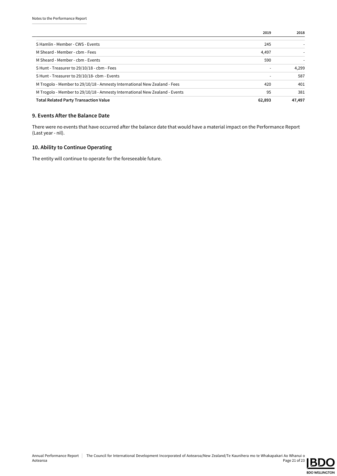|                                                                             | 2019   | 2018   |
|-----------------------------------------------------------------------------|--------|--------|
| S Hamlin - Member - CWS - Events                                            | 245    |        |
| M Sheard - Member - cbm - Fees                                              | 4,497  |        |
| M Sheard - Member - cbm - Events                                            | 590    |        |
| S Hunt - Treasurer to 29/10/18 - cbm - Fees                                 |        | 4,299  |
| S Hunt - Treasurer to 29/10/18- cbm - Events                                |        | 587    |
| M Trogolo - Member to 29/10/18 - Amnesty International New Zealand - Fees   | 420    | 401    |
| M Trogolo - Member to 29/10/18 - Amnesty International New Zealand - Events | 95     | 381    |
| <b>Total Related Party Transaction Value</b>                                | 62,893 | 47,497 |

### 9. Events After the Balance Date

There were no events that have occurred after the balance date that would have a material impact on the Performance Report (Last year - nil).

### 10. Ability to Continue Operating

The entity will continue to operate for the foreseeable future.

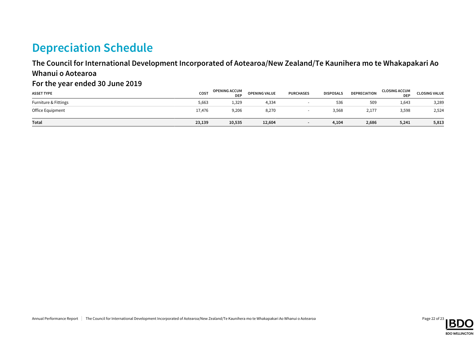## Depreciation Schedule

### The Council for International Development Incorporated of Aotearoa/New Zealand/Te Kaunihera mo te Whakapakari Ao Whanui o Aotearoa

### For the year ended 30 June 2019

| <b>ASSET TYPE</b>    | COST   | <b>OPENING ACCUM</b><br><b>DEP</b> | <b>OPENING VALUE</b> | <b>PURCHASES</b> | <b>DISPOSALS</b> | DEPRECIATION | <b>CLOSING ACCUM</b><br><b>DEP</b> | <b>CLOSING VALUE</b> |
|----------------------|--------|------------------------------------|----------------------|------------------|------------------|--------------|------------------------------------|----------------------|
| Furniture & Fittings | 5,663  | 1,329                              | 4,334                |                  | 536              | 509          | 1,643                              | 3,289                |
| Office Equipment     | 17,476 | 9,206                              | 8,270                |                  | 3,568            | 2,177        | 3,598                              | 2,524                |
| Total                | 23,139 | 10,535                             | 12,604               |                  | 4,104            | 2,686        | 5,241                              | 5,813                |

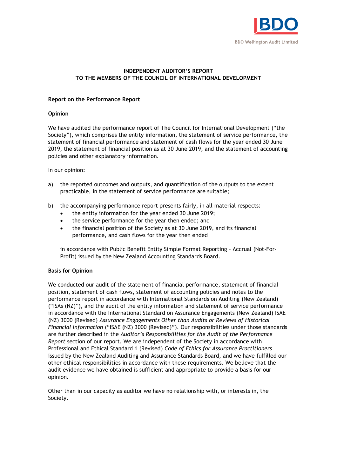

### **INDEPENDENT AUDITOR'S REPORT TO THE MEMBERS OF THE COUNCIL OF INTERNATIONAL DEVELOPMENT**

### **Report on the Performance Report**

### **Opinion**

We have audited the performance report of The Council for International Development ("the Society"), which comprises the entity information, the statement of service performance, the statement of financial performance and statement of cash flows for the year ended 30 June 2019, the statement of financial position as at 30 June 2019, and the statement of accounting policies and other explanatory information.

In our opinion:

- a) the reported outcomes and outputs, and quantification of the outputs to the extent practicable, in the statement of service performance are suitable;
- b) the accompanying performance report presents fairly, in all material respects:
	- the entity information for the year ended 30 June 2019;
	- the service performance for the year then ended; and
	- the financial position of the Society as at 30 June 2019, and its financial performance, and cash flows for the year then ended

in accordance with Public Benefit Entity Simple Format Reporting – Accrual (Not-For-Profit) issued by the New Zealand Accounting Standards Board.

### **Basis for Opinion**

We conducted our audit of the statement of financial performance, statement of financial position, statement of cash flows, statement of accounting policies and notes to the performance report in accordance with International Standards on Auditing (New Zealand) ("ISAs (NZ)"), and the audit of the entity information and statement of service performance in accordance with the International Standard on Assurance Engagements (New Zealand) ISAE (NZ) 3000 (Revised) *Assurance Engagements Other than Audits or Reviews of Historical Financial Information* ("ISAE (NZ) 3000 (Revised)"). Our responsibilities under those standards are further described in the *Auditor's Responsibilities for the Audit of the Performance Report* section of our report. We are independent of the Society in accordance with Professional and Ethical Standard 1 (Revised) *Code of Ethics for Assurance Practitioners* issued by the New Zealand Auditing and Assurance Standards Board, and we have fulfilled our other ethical responsibilities in accordance with these requirements. We believe that the audit evidence we have obtained is sufficient and appropriate to provide a basis for our opinion.

Other than in our capacity as auditor we have no relationship with, or interests in, the Society.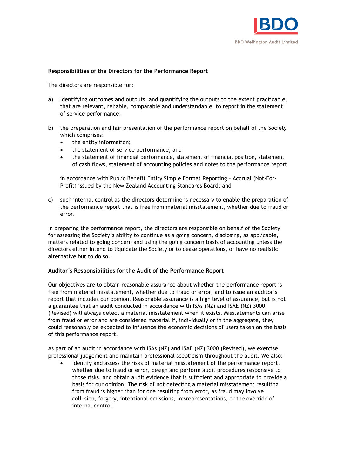

### **Responsibilities of the Directors for the Performance Report**

The directors are responsible for:

- a) Identifying outcomes and outputs, and quantifying the outputs to the extent practicable, that are relevant, reliable, comparable and understandable, to report in the statement of service performance;
- b) the preparation and fair presentation of the performance report on behalf of the Society which comprises:
	- the entity information;
	- the statement of service performance; and
	- the statement of financial performance, statement of financial position, statement of cash flows, statement of accounting policies and notes to the performance report

in accordance with Public Benefit Entity Simple Format Reporting – Accrual (Not-For-Profit) issued by the New Zealand Accounting Standards Board; and

c) such internal control as the directors determine is necessary to enable the preparation of the performance report that is free from material misstatement, whether due to fraud or error.

In preparing the performance report, the directors are responsible on behalf of the Society for assessing the Society's ability to continue as a going concern, disclosing, as applicable, matters related to going concern and using the going concern basis of accounting unless the directors either intend to liquidate the Society or to cease operations, or have no realistic alternative but to do so.

### **Auditor's Responsibilities for the Audit of the Performance Report**

Our objectives are to obtain reasonable assurance about whether the performance report is free from material misstatement, whether due to fraud or error, and to issue an auditor's report that includes our opinion. Reasonable assurance is a high level of assurance, but is not a guarantee that an audit conducted in accordance with ISAs (NZ) and ISAE (NZ) 3000 (Revised) will always detect a material misstatement when it exists. Misstatements can arise from fraud or error and are considered material if, individually or in the aggregate, they could reasonably be expected to influence the economic decisions of users taken on the basis of this performance report.

As part of an audit in accordance with ISAs (NZ) and ISAE (NZ) 3000 (Revised), we exercise professional judgement and maintain professional scepticism throughout the audit. We also:

 Identify and assess the risks of material misstatement of the performance report, whether due to fraud or error, design and perform audit procedures responsive to those risks, and obtain audit evidence that is sufficient and appropriate to provide a basis for our opinion. The risk of not detecting a material misstatement resulting from fraud is higher than for one resulting from error, as fraud may involve collusion, forgery, intentional omissions, misrepresentations, or the override of internal control.